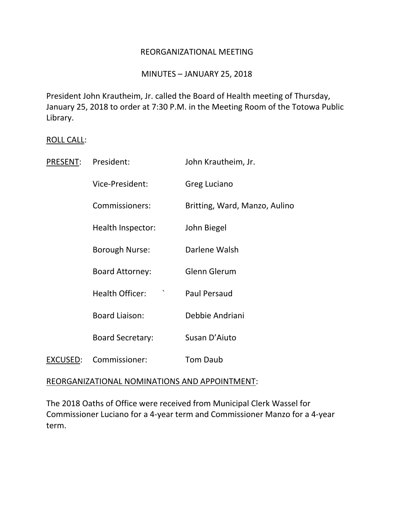### REORGANIZATIONAL MEETING

### MINUTES – JANUARY 25, 2018

President John Krautheim, Jr. called the Board of Health meeting of Thursday, January 25, 2018 to order at 7:30 P.M. in the Meeting Room of the Totowa Public Library.

#### ROLL CALL:

| PRESENT: | President:              | John Krautheim, Jr.           |
|----------|-------------------------|-------------------------------|
|          | Vice-President:         | <b>Greg Luciano</b>           |
|          | Commissioners:          | Britting, Ward, Manzo, Aulino |
|          | Health Inspector:       | John Biegel                   |
|          | <b>Borough Nurse:</b>   | Darlene Walsh                 |
|          | <b>Board Attorney:</b>  | Glenn Glerum                  |
|          | <b>Health Officer:</b>  | <b>Paul Persaud</b>           |
|          | <b>Board Liaison:</b>   | Debbie Andriani               |
|          | <b>Board Secretary:</b> | Susan D'Aiuto                 |
| EXCUSED: | Commissioner:           | <b>Tom Daub</b>               |

#### REORGANIZATIONAL NOMINATIONS AND APPOINTMENT:

The 2018 Oaths of Office were received from Municipal Clerk Wassel for Commissioner Luciano for a 4-year term and Commissioner Manzo for a 4-year term.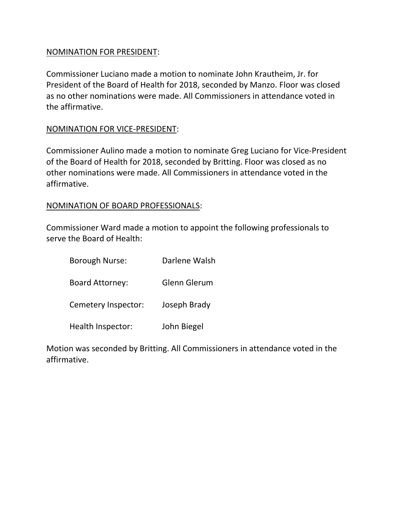# NOMINATION FOR PRESIDENT:

Commissioner Luciano made a motion to nominate John Krautheim, Jr. for President of the Board of Health for 2018, seconded by Manzo. Floor was closed as no other nominations were made. All Commissioners in attendance voted in the affirmative.

# NOMINATION FOR VICE-PRESIDENT:

Commissioner Aulino made a motion to nominate Greg Luciano for Vice-President of the Board of Health for 2018, seconded by Britting. Floor was closed as no other nominations were made. All Commissioners in attendance voted in the affirmative.

# NOMINATION OF BOARD PROFESSIONALS:

Commissioner Ward made a motion to appoint the following professionals to serve the Board of Health:

| <b>Borough Nurse:</b>  | Darlene Walsh |
|------------------------|---------------|
| <b>Board Attorney:</b> | Glenn Glerum  |
| Cemetery Inspector:    | Joseph Brady  |
| Health Inspector:      | John Biegel   |

Motion was seconded by Britting. All Commissioners in attendance voted in the affirmative.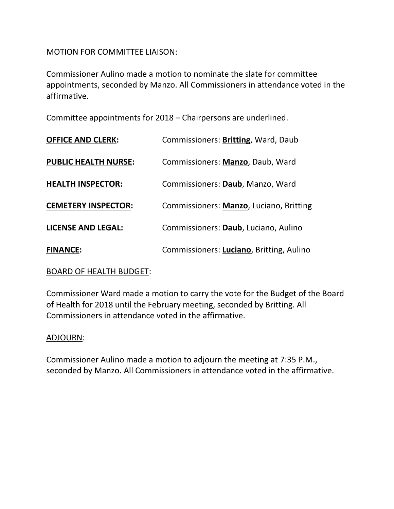# MOTION FOR COMMITTEE LIAISON:

Commissioner Aulino made a motion to nominate the slate for committee appointments, seconded by Manzo. All Commissioners in attendance voted in the affirmative.

Committee appointments for 2018 – Chairpersons are underlined.

| <b>OFFICE AND CLERK:</b>    | Commissioners: Britting, Ward, Daub      |
|-----------------------------|------------------------------------------|
| <b>PUBLIC HEALTH NURSE:</b> | Commissioners: Manzo, Daub, Ward         |
| <b>HEALTH INSPECTOR:</b>    | Commissioners: Daub, Manzo, Ward         |
| <b>CEMETERY INSPECTOR:</b>  | Commissioners: Manzo, Luciano, Britting  |
| <b>LICENSE AND LEGAL:</b>   | Commissioners: Daub, Luciano, Aulino     |
| <b>FINANCE:</b>             | Commissioners: Luciano, Britting, Aulino |

## BOARD OF HEALTH BUDGET:

Commissioner Ward made a motion to carry the vote for the Budget of the Board of Health for 2018 until the February meeting, seconded by Britting. All Commissioners in attendance voted in the affirmative.

### ADJOURN:

Commissioner Aulino made a motion to adjourn the meeting at 7:35 P.M., seconded by Manzo. All Commissioners in attendance voted in the affirmative.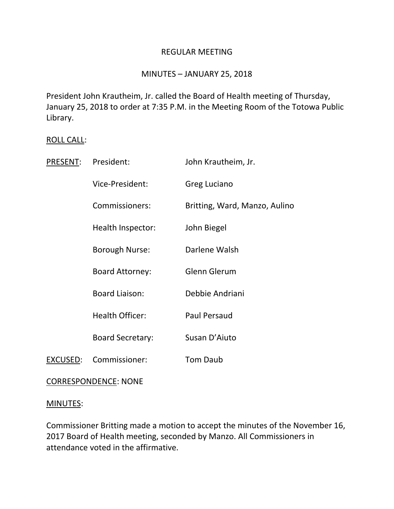### REGULAR MEETING

# MINUTES – JANUARY 25, 2018

President John Krautheim, Jr. called the Board of Health meeting of Thursday, January 25, 2018 to order at 7:35 P.M. in the Meeting Room of the Totowa Public Library.

### ROLL CALL:

| <b>PRESENT:</b> | President:              | John Krautheim, Jr.           |
|-----------------|-------------------------|-------------------------------|
|                 | Vice-President:         | Greg Luciano                  |
|                 | Commissioners:          | Britting, Ward, Manzo, Aulino |
|                 | Health Inspector:       | John Biegel                   |
|                 | Borough Nurse:          | Darlene Walsh                 |
|                 | <b>Board Attorney:</b>  | <b>Glenn Glerum</b>           |
|                 | <b>Board Liaison:</b>   | Debbie Andriani               |
|                 | <b>Health Officer:</b>  | <b>Paul Persaud</b>           |
|                 | <b>Board Secretary:</b> | Susan D'Aiuto                 |
| <b>EXCUSED:</b> | Commissioner:           | <b>Tom Daub</b>               |
|                 |                         |                               |

## CORRESPONDENCE: NONE

### MINUTES:

Commissioner Britting made a motion to accept the minutes of the November 16, 2017 Board of Health meeting, seconded by Manzo. All Commissioners in attendance voted in the affirmative.